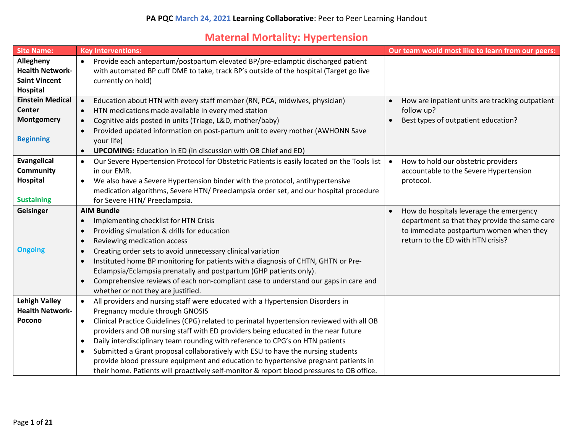## **Maternal Mortality: Hypertension**

| <b>Site Name:</b>                                                                                    | <b>Key Interventions:</b>                                                                                                                                                                                                                                                                                                                                                                                                                                                                                                                                                                                                                                                                                         | Our team would most like to learn from our peers:                                                                                                                        |
|------------------------------------------------------------------------------------------------------|-------------------------------------------------------------------------------------------------------------------------------------------------------------------------------------------------------------------------------------------------------------------------------------------------------------------------------------------------------------------------------------------------------------------------------------------------------------------------------------------------------------------------------------------------------------------------------------------------------------------------------------------------------------------------------------------------------------------|--------------------------------------------------------------------------------------------------------------------------------------------------------------------------|
| Allegheny<br><b>Health Network-</b><br><b>Saint Vincent</b>                                          | Provide each antepartum/postpartum elevated BP/pre-eclamptic discharged patient<br>$\bullet$<br>with automated BP cuff DME to take, track BP's outside of the hospital (Target go live<br>currently on hold)                                                                                                                                                                                                                                                                                                                                                                                                                                                                                                      |                                                                                                                                                                          |
| <b>Hospital</b><br><b>Einstein Medical</b><br><b>Center</b><br><b>Montgomery</b><br><b>Beginning</b> | Education about HTN with every staff member (RN, PCA, midwives, physician)<br>$\bullet$<br>HTN medications made available in every med station<br>$\bullet$<br>Cognitive aids posted in units (Triage, L&D, mother/baby)<br>$\bullet$<br>Provided updated information on post-partum unit to every mother (AWHONN Save<br>$\bullet$<br>your life)<br><b>UPCOMING:</b> Education in ED (in discussion with OB Chief and ED)<br>$\bullet$                                                                                                                                                                                                                                                                           | How are inpatient units are tracking outpatient<br>follow up?<br>Best types of outpatient education?<br>$\bullet$                                                        |
| <b>Evangelical</b><br>Community<br><b>Hospital</b><br><b>Sustaining</b>                              | Our Severe Hypertension Protocol for Obstetric Patients is easily located on the Tools list<br>$\bullet$<br>in our EMR.<br>We also have a Severe Hypertension binder with the protocol, antihypertensive<br>$\bullet$<br>medication algorithms, Severe HTN/ Preeclampsia order set, and our hospital procedure<br>for Severe HTN/ Preeclampsia.                                                                                                                                                                                                                                                                                                                                                                   | How to hold our obstetric providers<br>$\bullet$<br>accountable to the Severe Hypertension<br>protocol.                                                                  |
| Geisinger<br><b>Ongoing</b>                                                                          | <b>AIM Bundle</b><br>Implementing checklist for HTN Crisis<br>$\bullet$<br>Providing simulation & drills for education<br>$\bullet$<br>Reviewing medication access<br>$\bullet$<br>Creating order sets to avoid unnecessary clinical variation<br>$\bullet$<br>Instituted home BP monitoring for patients with a diagnosis of CHTN, GHTN or Pre-<br>$\bullet$<br>Eclampsia/Eclampsia prenatally and postpartum (GHP patients only).<br>Comprehensive reviews of each non-compliant case to understand our gaps in care and<br>$\bullet$<br>whether or not they are justified.                                                                                                                                     | How do hospitals leverage the emergency<br>department so that they provide the same care<br>to immediate postpartum women when they<br>return to the ED with HTN crisis? |
| <b>Lehigh Valley</b><br><b>Health Network-</b><br>Pocono                                             | All providers and nursing staff were educated with a Hypertension Disorders in<br>$\bullet$<br>Pregnancy module through GNOSIS<br>Clinical Practice Guidelines (CPG) related to perinatal hypertension reviewed with all OB<br>$\bullet$<br>providers and OB nursing staff with ED providers being educated in the near future<br>Daily interdisciplinary team rounding with reference to CPG's on HTN patients<br>$\bullet$<br>Submitted a Grant proposal collaboratively with ESU to have the nursing students<br>$\bullet$<br>provide blood pressure equipment and education to hypertensive pregnant patients in<br>their home. Patients will proactively self-monitor & report blood pressures to OB office. |                                                                                                                                                                          |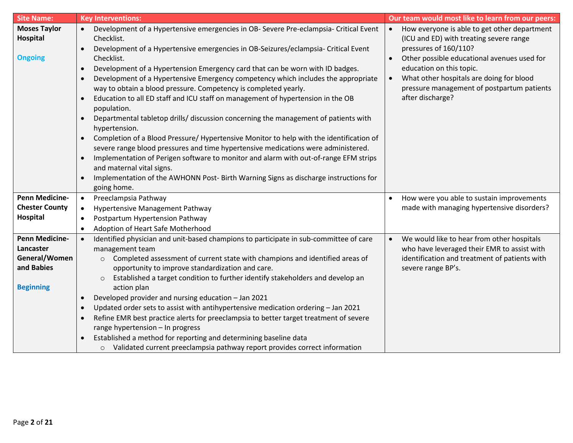| <b>Site Name:</b>                                 | <b>Key Interventions:</b>                                                                                                                                                                                                                                                                                                                                                                                                                                                                                                                                                                                                                                                                                                                                                                                                                                                                                                                                                                                                                                                                                                                                                                   | Our team would most like to learn from our peers:                                                                                                                                                                                                                                                                      |
|---------------------------------------------------|---------------------------------------------------------------------------------------------------------------------------------------------------------------------------------------------------------------------------------------------------------------------------------------------------------------------------------------------------------------------------------------------------------------------------------------------------------------------------------------------------------------------------------------------------------------------------------------------------------------------------------------------------------------------------------------------------------------------------------------------------------------------------------------------------------------------------------------------------------------------------------------------------------------------------------------------------------------------------------------------------------------------------------------------------------------------------------------------------------------------------------------------------------------------------------------------|------------------------------------------------------------------------------------------------------------------------------------------------------------------------------------------------------------------------------------------------------------------------------------------------------------------------|
| <b>Moses Taylor</b><br>Hospital<br><b>Ongoing</b> | Development of a Hypertensive emergencies in OB- Severe Pre-eclampsia- Critical Event<br>$\bullet$<br>Checklist.<br>Development of a Hypertensive emergencies in OB-Seizures/eclampsia- Critical Event<br>$\bullet$<br>Checklist.<br>Development of a Hypertension Emergency card that can be worn with ID badges.<br>$\bullet$<br>Development of a Hypertensive Emergency competency which includes the appropriate<br>$\bullet$<br>way to obtain a blood pressure. Competency is completed yearly.<br>Education to all ED staff and ICU staff on management of hypertension in the OB<br>$\bullet$<br>population.<br>Departmental tabletop drills/ discussion concerning the management of patients with<br>$\bullet$<br>hypertension.<br>Completion of a Blood Pressure/ Hypertensive Monitor to help with the identification of<br>$\bullet$<br>severe range blood pressures and time hypertensive medications were administered.<br>Implementation of Perigen software to monitor and alarm with out-of-range EFM strips<br>$\bullet$<br>and maternal vital signs.<br>Implementation of the AWHONN Post- Birth Warning Signs as discharge instructions for<br>$\bullet$<br>going home. | How everyone is able to get other department<br>(ICU and ED) with treating severe range<br>pressures of 160/110?<br>Other possible educational avenues used for<br>education on this topic.<br>What other hospitals are doing for blood<br>$\bullet$<br>pressure management of postpartum patients<br>after discharge? |
| <b>Penn Medicine-</b>                             | Preeclampsia Pathway<br>$\bullet$                                                                                                                                                                                                                                                                                                                                                                                                                                                                                                                                                                                                                                                                                                                                                                                                                                                                                                                                                                                                                                                                                                                                                           | How were you able to sustain improvements                                                                                                                                                                                                                                                                              |
| <b>Chester County</b>                             | Hypertensive Management Pathway<br>$\bullet$                                                                                                                                                                                                                                                                                                                                                                                                                                                                                                                                                                                                                                                                                                                                                                                                                                                                                                                                                                                                                                                                                                                                                | made with managing hypertensive disorders?                                                                                                                                                                                                                                                                             |
| Hospital                                          | Postpartum Hypertension Pathway<br>$\bullet$                                                                                                                                                                                                                                                                                                                                                                                                                                                                                                                                                                                                                                                                                                                                                                                                                                                                                                                                                                                                                                                                                                                                                |                                                                                                                                                                                                                                                                                                                        |
|                                                   | Adoption of Heart Safe Motherhood<br>$\bullet$                                                                                                                                                                                                                                                                                                                                                                                                                                                                                                                                                                                                                                                                                                                                                                                                                                                                                                                                                                                                                                                                                                                                              |                                                                                                                                                                                                                                                                                                                        |
| <b>Penn Medicine-</b>                             | Identified physician and unit-based champions to participate in sub-committee of care<br>$\bullet$                                                                                                                                                                                                                                                                                                                                                                                                                                                                                                                                                                                                                                                                                                                                                                                                                                                                                                                                                                                                                                                                                          | We would like to hear from other hospitals<br>$\bullet$                                                                                                                                                                                                                                                                |
| Lancaster                                         | management team                                                                                                                                                                                                                                                                                                                                                                                                                                                                                                                                                                                                                                                                                                                                                                                                                                                                                                                                                                                                                                                                                                                                                                             | who have leveraged their EMR to assist with                                                                                                                                                                                                                                                                            |
| General/Women                                     | Completed assessment of current state with champions and identified areas of<br>$\circ$                                                                                                                                                                                                                                                                                                                                                                                                                                                                                                                                                                                                                                                                                                                                                                                                                                                                                                                                                                                                                                                                                                     | identification and treatment of patients with                                                                                                                                                                                                                                                                          |
| and Babies                                        | opportunity to improve standardization and care.                                                                                                                                                                                                                                                                                                                                                                                                                                                                                                                                                                                                                                                                                                                                                                                                                                                                                                                                                                                                                                                                                                                                            | severe range BP's.                                                                                                                                                                                                                                                                                                     |
|                                                   | Established a target condition to further identify stakeholders and develop an<br>$\circ$                                                                                                                                                                                                                                                                                                                                                                                                                                                                                                                                                                                                                                                                                                                                                                                                                                                                                                                                                                                                                                                                                                   |                                                                                                                                                                                                                                                                                                                        |
| <b>Beginning</b>                                  | action plan                                                                                                                                                                                                                                                                                                                                                                                                                                                                                                                                                                                                                                                                                                                                                                                                                                                                                                                                                                                                                                                                                                                                                                                 |                                                                                                                                                                                                                                                                                                                        |
|                                                   | Developed provider and nursing education - Jan 2021<br>$\bullet$                                                                                                                                                                                                                                                                                                                                                                                                                                                                                                                                                                                                                                                                                                                                                                                                                                                                                                                                                                                                                                                                                                                            |                                                                                                                                                                                                                                                                                                                        |
|                                                   | Updated order sets to assist with antihypertensive medication ordering - Jan 2021<br>$\bullet$                                                                                                                                                                                                                                                                                                                                                                                                                                                                                                                                                                                                                                                                                                                                                                                                                                                                                                                                                                                                                                                                                              |                                                                                                                                                                                                                                                                                                                        |
|                                                   | Refine EMR best practice alerts for preeclampsia to better target treatment of severe<br>$\bullet$                                                                                                                                                                                                                                                                                                                                                                                                                                                                                                                                                                                                                                                                                                                                                                                                                                                                                                                                                                                                                                                                                          |                                                                                                                                                                                                                                                                                                                        |
|                                                   | range hypertension - In progress                                                                                                                                                                                                                                                                                                                                                                                                                                                                                                                                                                                                                                                                                                                                                                                                                                                                                                                                                                                                                                                                                                                                                            |                                                                                                                                                                                                                                                                                                                        |
|                                                   | Established a method for reporting and determining baseline data                                                                                                                                                                                                                                                                                                                                                                                                                                                                                                                                                                                                                                                                                                                                                                                                                                                                                                                                                                                                                                                                                                                            |                                                                                                                                                                                                                                                                                                                        |
|                                                   | Validated current preeclampsia pathway report provides correct information<br>$\circ$                                                                                                                                                                                                                                                                                                                                                                                                                                                                                                                                                                                                                                                                                                                                                                                                                                                                                                                                                                                                                                                                                                       |                                                                                                                                                                                                                                                                                                                        |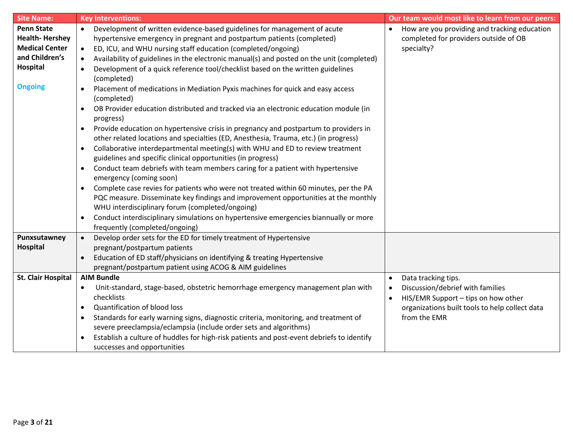| <b>Site Name:</b>         | <b>Key Interventions:</b>                                                                                                                                                                                                                  | Our team would most like to learn from our peers:         |
|---------------------------|--------------------------------------------------------------------------------------------------------------------------------------------------------------------------------------------------------------------------------------------|-----------------------------------------------------------|
| <b>Penn State</b>         | Development of written evidence-based guidelines for management of acute<br>$\bullet$                                                                                                                                                      | How are you providing and tracking education<br>$\bullet$ |
| <b>Health-Hershey</b>     | hypertensive emergency in pregnant and postpartum patients (completed)                                                                                                                                                                     | completed for providers outside of OB                     |
| <b>Medical Center</b>     | ED, ICU, and WHU nursing staff education (completed/ongoing)<br>$\bullet$                                                                                                                                                                  | specialty?                                                |
| and Children's            | Availability of guidelines in the electronic manual(s) and posted on the unit (completed)<br>$\bullet$                                                                                                                                     |                                                           |
| Hospital                  | Development of a quick reference tool/checklist based on the written guidelines<br>$\bullet$<br>(completed)                                                                                                                                |                                                           |
| <b>Ongoing</b>            | Placement of medications in Mediation Pyxis machines for quick and easy access<br>$\bullet$<br>(completed)                                                                                                                                 |                                                           |
|                           | OB Provider education distributed and tracked via an electronic education module (in<br>$\bullet$<br>progress)                                                                                                                             |                                                           |
|                           | Provide education on hypertensive crisis in pregnancy and postpartum to providers in<br>$\bullet$<br>other related locations and specialties (ED, Anesthesia, Trauma, etc.) (in progress)                                                  |                                                           |
|                           | Collaborative interdepartmental meeting(s) with WHU and ED to review treatment<br>$\bullet$<br>guidelines and specific clinical opportunities (in progress)                                                                                |                                                           |
|                           | Conduct team debriefs with team members caring for a patient with hypertensive<br>$\bullet$<br>emergency (coming soon)                                                                                                                     |                                                           |
|                           | Complete case revies for patients who were not treated within 60 minutes, per the PA<br>$\bullet$<br>PQC measure. Disseminate key findings and improvement opportunities at the monthly<br>WHU interdisciplinary forum (completed/ongoing) |                                                           |
|                           | Conduct interdisciplinary simulations on hypertensive emergencies biannually or more<br>$\bullet$<br>frequently (completed/ongoing)                                                                                                        |                                                           |
| Punxsutawney              | Develop order sets for the ED for timely treatment of Hypertensive<br>$\bullet$                                                                                                                                                            |                                                           |
| <b>Hospital</b>           | pregnant/postpartum patients                                                                                                                                                                                                               |                                                           |
|                           | Education of ED staff/physicians on identifying & treating Hypertensive                                                                                                                                                                    |                                                           |
|                           | pregnant/postpartum patient using ACOG & AIM guidelines                                                                                                                                                                                    |                                                           |
| <b>St. Clair Hospital</b> | <b>AIM Bundle</b>                                                                                                                                                                                                                          | Data tracking tips.<br>$\bullet$                          |
|                           | Unit-standard, stage-based, obstetric hemorrhage emergency management plan with<br>$\bullet$                                                                                                                                               | Discussion/debrief with families<br>$\bullet$             |
|                           | checklists                                                                                                                                                                                                                                 | HIS/EMR Support - tips on how other                       |
|                           | Quantification of blood loss<br>$\bullet$                                                                                                                                                                                                  | organizations built tools to help collect data            |
|                           | Standards for early warning signs, diagnostic criteria, monitoring, and treatment of<br>$\bullet$                                                                                                                                          | from the EMR                                              |
|                           | severe preeclampsia/eclampsia (include order sets and algorithms)                                                                                                                                                                          |                                                           |
|                           | Establish a culture of huddles for high-risk patients and post-event debriefs to identify<br>$\bullet$<br>successes and opportunities                                                                                                      |                                                           |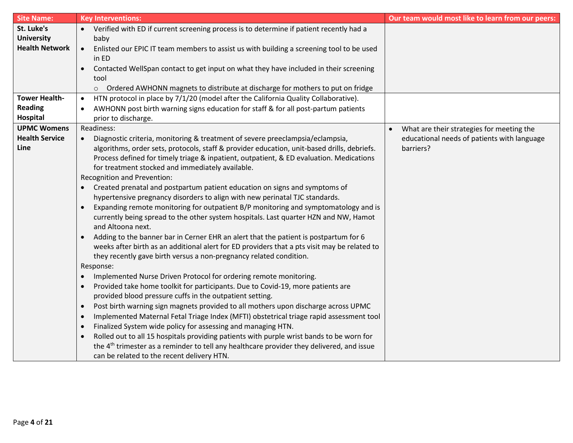| <b>Site Name:</b>               | <b>Key Interventions:</b>                                                                                                                                              | Our team would most like to learn from our peers:      |
|---------------------------------|------------------------------------------------------------------------------------------------------------------------------------------------------------------------|--------------------------------------------------------|
| St. Luke's<br><b>University</b> | Verified with ED if current screening process is to determine if patient recently had a<br>baby                                                                        |                                                        |
| <b>Health Network</b>           | Enlisted our EPIC IT team members to assist us with building a screening tool to be used<br>$\bullet$                                                                  |                                                        |
|                                 | in ED                                                                                                                                                                  |                                                        |
|                                 | Contacted WellSpan contact to get input on what they have included in their screening                                                                                  |                                                        |
|                                 | tool<br>○ Ordered AWHONN magnets to distribute at discharge for mothers to put on fridge                                                                               |                                                        |
| <b>Tower Health-</b>            | HTN protocol in place by 7/1/20 (model after the California Quality Collaborative).<br>$\bullet$                                                                       |                                                        |
| <b>Reading</b>                  | AWHONN post birth warning signs education for staff & for all post-partum patients<br>$\bullet$                                                                        |                                                        |
| Hospital                        | prior to discharge.                                                                                                                                                    |                                                        |
| <b>UPMC Womens</b>              | Readiness:                                                                                                                                                             | What are their strategies for meeting the<br>$\bullet$ |
| <b>Health Service</b>           | Diagnostic criteria, monitoring & treatment of severe preeclampsia/eclampsia,                                                                                          | educational needs of patients with language            |
| Line                            | algorithms, order sets, protocols, staff & provider education, unit-based drills, debriefs.                                                                            | barriers?                                              |
|                                 | Process defined for timely triage & inpatient, outpatient, & ED evaluation. Medications                                                                                |                                                        |
|                                 | for treatment stocked and immediately available.                                                                                                                       |                                                        |
|                                 | Recognition and Prevention:                                                                                                                                            |                                                        |
|                                 | Created prenatal and postpartum patient education on signs and symptoms of<br>$\bullet$<br>hypertensive pregnancy disorders to align with new perinatal TJC standards. |                                                        |
|                                 | Expanding remote monitoring for outpatient B/P monitoring and symptomatology and is<br>$\bullet$                                                                       |                                                        |
|                                 | currently being spread to the other system hospitals. Last quarter HZN and NW, Hamot                                                                                   |                                                        |
|                                 | and Altoona next.                                                                                                                                                      |                                                        |
|                                 | Adding to the banner bar in Cerner EHR an alert that the patient is postpartum for 6                                                                                   |                                                        |
|                                 | weeks after birth as an additional alert for ED providers that a pts visit may be related to                                                                           |                                                        |
|                                 | they recently gave birth versus a non-pregnancy related condition.                                                                                                     |                                                        |
|                                 | Response:                                                                                                                                                              |                                                        |
|                                 | Implemented Nurse Driven Protocol for ordering remote monitoring.<br>$\bullet$                                                                                         |                                                        |
|                                 | Provided take home toolkit for participants. Due to Covid-19, more patients are<br>$\bullet$<br>provided blood pressure cuffs in the outpatient setting.               |                                                        |
|                                 | Post birth warning sign magnets provided to all mothers upon discharge across UPMC<br>$\bullet$                                                                        |                                                        |
|                                 | Implemented Maternal Fetal Triage Index (MFTI) obstetrical triage rapid assessment tool<br>$\bullet$                                                                   |                                                        |
|                                 | Finalized System wide policy for assessing and managing HTN.                                                                                                           |                                                        |
|                                 | Rolled out to all 15 hospitals providing patients with purple wrist bands to be worn for<br>$\bullet$                                                                  |                                                        |
|                                 | the 4 <sup>th</sup> trimester as a reminder to tell any healthcare provider they delivered, and issue                                                                  |                                                        |
|                                 | can be related to the recent delivery HTN.                                                                                                                             |                                                        |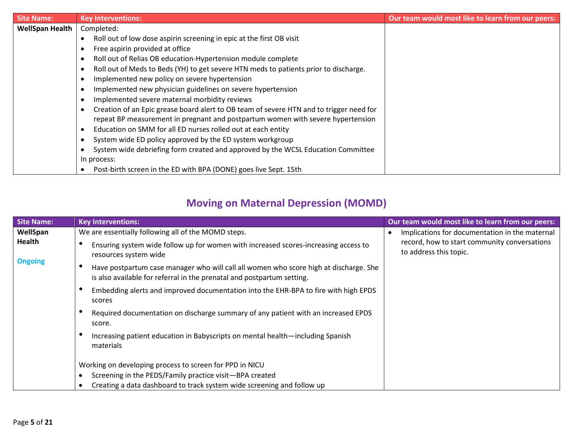| <b>Site Name:</b>      | <b>Key Interventions:</b>                                                               | Our team would most like to learn from our peers: |
|------------------------|-----------------------------------------------------------------------------------------|---------------------------------------------------|
| <b>WellSpan Health</b> | Completed:                                                                              |                                                   |
|                        | Roll out of low dose aspirin screening in epic at the first OB visit                    |                                                   |
|                        | Free aspirin provided at office                                                         |                                                   |
|                        | Roll out of Relias OB education-Hypertension module complete                            |                                                   |
|                        | Roll out of Meds to Beds (YH) to get severe HTN meds to patients prior to discharge.    |                                                   |
|                        | Implemented new policy on severe hypertension                                           |                                                   |
|                        | Implemented new physician guidelines on severe hypertension                             |                                                   |
|                        | Implemented severe maternal morbidity reviews                                           |                                                   |
|                        | Creation of an Epic grease board alert to OB team of severe HTN and to trigger need for |                                                   |
|                        | repeat BP measurement in pregnant and postpartum women with severe hypertension         |                                                   |
|                        | Education on SMM for all ED nurses rolled out at each entity                            |                                                   |
|                        | System wide ED policy approved by the ED system workgroup                               |                                                   |
|                        | System wide debriefing form created and approved by the WCSL Education Committee        |                                                   |
|                        | In process:                                                                             |                                                   |
|                        | Post-birth screen in the ED with BPA (DONE) goes live Sept. 15th                        |                                                   |

## **Moving on Maternal Depression (MOMD)**

| <b>Site Name:</b> | <b>Key Interventions:</b>                                                                                                                                       | Our team would most like to learn from our peers:                      |
|-------------------|-----------------------------------------------------------------------------------------------------------------------------------------------------------------|------------------------------------------------------------------------|
| WellSpan          | We are essentially following all of the MOMD steps.                                                                                                             | Implications for documentation in the maternal                         |
| Health            | Ensuring system wide follow up for women with increased scores-increasing access to<br>resources system wide                                                    | record, how to start community conversations<br>to address this topic. |
| <b>Ongoing</b>    | Have postpartum case manager who will call all women who score high at discharge. She<br>is also available for referral in the prenatal and postpartum setting. |                                                                        |
|                   | Embedding alerts and improved documentation into the EHR-BPA to fire with high EPDS<br>scores                                                                   |                                                                        |
|                   | Required documentation on discharge summary of any patient with an increased EPDS<br>score.                                                                     |                                                                        |
|                   | Increasing patient education in Babyscripts on mental health—including Spanish<br>materials                                                                     |                                                                        |
|                   | Working on developing process to screen for PPD in NICU                                                                                                         |                                                                        |
|                   | Screening in the PEDS/Family practice visit-BPA created                                                                                                         |                                                                        |
|                   | Creating a data dashboard to track system wide screening and follow up                                                                                          |                                                                        |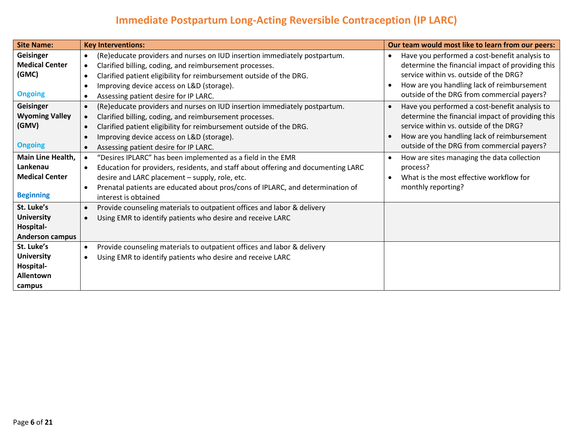# **Immediate Postpartum Long-Acting Reversible Contraception (IP LARC)**

| <b>Site Name:</b>                                                                 | <b>Key Interventions:</b>                                                                                                                                                                                                                                                                                                 | Our team would most like to learn from our peers:                                                                                                                                                                                                                 |
|-----------------------------------------------------------------------------------|---------------------------------------------------------------------------------------------------------------------------------------------------------------------------------------------------------------------------------------------------------------------------------------------------------------------------|-------------------------------------------------------------------------------------------------------------------------------------------------------------------------------------------------------------------------------------------------------------------|
| Geisinger<br><b>Medical Center</b><br>(GMC)<br><b>Ongoing</b>                     | (Re)educate providers and nurses on IUD insertion immediately postpartum.<br>Clarified billing, coding, and reimbursement processes.<br>Clarified patient eligibility for reimbursement outside of the DRG.<br>Improving device access on L&D (storage).<br>Assessing patient desire for IP LARC.                         | Have you performed a cost-benefit analysis to<br>$\bullet$<br>determine the financial impact of providing this<br>service within vs. outside of the DRG?<br>How are you handling lack of reimbursement<br>$\bullet$<br>outside of the DRG from commercial payers? |
| Geisinger<br><b>Wyoming Valley</b><br>(GMV)<br><b>Ongoing</b>                     | (Re)educate providers and nurses on IUD insertion immediately postpartum.<br>Clarified billing, coding, and reimbursement processes.<br>Clarified patient eligibility for reimbursement outside of the DRG.<br>Improving device access on L&D (storage).<br>Assessing patient desire for IP LARC.                         | Have you performed a cost-benefit analysis to<br>$\bullet$<br>determine the financial impact of providing this<br>service within vs. outside of the DRG?<br>How are you handling lack of reimbursement<br>outside of the DRG from commercial payers?              |
| <b>Main Line Health,</b><br>Lankenau<br><b>Medical Center</b><br><b>Beginning</b> | "Desires IPLARC" has been implemented as a field in the EMR<br>Education for providers, residents, and staff about offering and documenting LARC<br>desire and LARC placement - supply, role, etc.<br>Prenatal patients are educated about pros/cons of IPLARC, and determination of<br>$\bullet$<br>interest is obtained | How are sites managing the data collection<br>process?<br>What is the most effective workflow for<br>monthly reporting?                                                                                                                                           |
| St. Luke's<br><b>University</b><br>Hospital-<br><b>Anderson campus</b>            | Provide counseling materials to outpatient offices and labor & delivery<br>Using EMR to identify patients who desire and receive LARC                                                                                                                                                                                     |                                                                                                                                                                                                                                                                   |
| St. Luke's<br><b>University</b><br>Hospital-<br>Allentown<br>campus               | Provide counseling materials to outpatient offices and labor & delivery<br>$\bullet$<br>Using EMR to identify patients who desire and receive LARC                                                                                                                                                                        |                                                                                                                                                                                                                                                                   |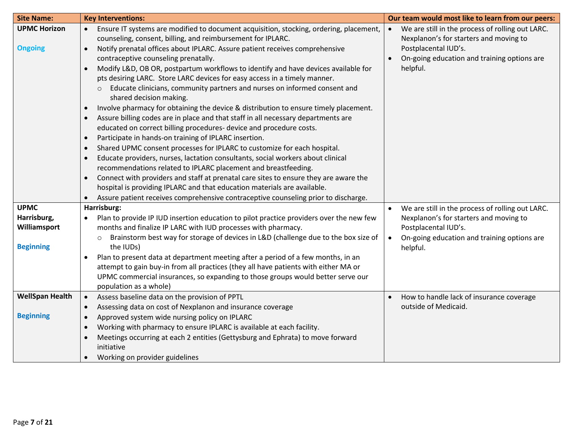| <b>Site Name:</b>      | <b>Key Interventions:</b>                                                                                                                                                     | Our team would most like to learn from our peers:             |
|------------------------|-------------------------------------------------------------------------------------------------------------------------------------------------------------------------------|---------------------------------------------------------------|
| <b>UPMC Horizon</b>    | Ensure IT systems are modified to document acquisition, stocking, ordering, placement,<br>$\bullet$                                                                           | We are still in the process of rolling out LARC.<br>$\bullet$ |
|                        | counseling, consent, billing, and reimbursement for IPLARC.                                                                                                                   | Nexplanon's for starters and moving to                        |
| <b>Ongoing</b>         | Notify prenatal offices about IPLARC. Assure patient receives comprehensive                                                                                                   | Postplacental IUD's.                                          |
|                        | contraceptive counseling prenatally.                                                                                                                                          | On-going education and training options are                   |
|                        | Modify L&D, OB OR, postpartum workflows to identify and have devices available for                                                                                            | helpful.                                                      |
|                        | pts desiring LARC. Store LARC devices for easy access in a timely manner.                                                                                                     |                                                               |
|                        | Educate clinicians, community partners and nurses on informed consent and                                                                                                     |                                                               |
|                        | shared decision making.                                                                                                                                                       |                                                               |
|                        | Involve pharmacy for obtaining the device & distribution to ensure timely placement.<br>$\bullet$                                                                             |                                                               |
|                        | Assure billing codes are in place and that staff in all necessary departments are<br>$\bullet$                                                                                |                                                               |
|                        | educated on correct billing procedures- device and procedure costs.                                                                                                           |                                                               |
|                        | Participate in hands-on training of IPLARC insertion.<br>$\bullet$                                                                                                            |                                                               |
|                        | Shared UPMC consent processes for IPLARC to customize for each hospital.<br>$\bullet$                                                                                         |                                                               |
|                        | Educate providers, nurses, lactation consultants, social workers about clinical<br>$\bullet$                                                                                  |                                                               |
|                        | recommendations related to IPLARC placement and breastfeeding.                                                                                                                |                                                               |
|                        | Connect with providers and staff at prenatal care sites to ensure they are aware the<br>$\bullet$<br>hospital is providing IPLARC and that education materials are available. |                                                               |
|                        | Assure patient receives comprehensive contraceptive counseling prior to discharge.<br>$\bullet$                                                                               |                                                               |
| <b>UPMC</b>            | Harrisburg:                                                                                                                                                                   | We are still in the process of rolling out LARC.              |
| Harrisburg,            | Plan to provide IP IUD insertion education to pilot practice providers over the new few                                                                                       | Nexplanon's for starters and moving to                        |
| Williamsport           | months and finalize IP LARC with IUD processes with pharmacy.                                                                                                                 | Postplacental IUD's.                                          |
|                        | Brainstorm best way for storage of devices in L&D (challenge due to the box size of                                                                                           | On-going education and training options are<br>$\bullet$      |
| <b>Beginning</b>       | the IUDs)                                                                                                                                                                     | helpful.                                                      |
|                        | Plan to present data at department meeting after a period of a few months, in an                                                                                              |                                                               |
|                        | attempt to gain buy-in from all practices (they all have patients with either MA or                                                                                           |                                                               |
|                        | UPMC commercial insurances, so expanding to those groups would better serve our                                                                                               |                                                               |
|                        | population as a whole)                                                                                                                                                        |                                                               |
| <b>WellSpan Health</b> | Assess baseline data on the provision of PPTL<br>$\bullet$                                                                                                                    | How to handle lack of insurance coverage                      |
|                        | Assessing data on cost of Nexplanon and insurance coverage                                                                                                                    | outside of Medicaid.                                          |
| <b>Beginning</b>       | Approved system wide nursing policy on IPLARC                                                                                                                                 |                                                               |
|                        | Working with pharmacy to ensure IPLARC is available at each facility.<br>$\bullet$                                                                                            |                                                               |
|                        | Meetings occurring at each 2 entities (Gettysburg and Ephrata) to move forward<br>$\bullet$                                                                                   |                                                               |
|                        | initiative                                                                                                                                                                    |                                                               |
|                        | Working on provider guidelines                                                                                                                                                |                                                               |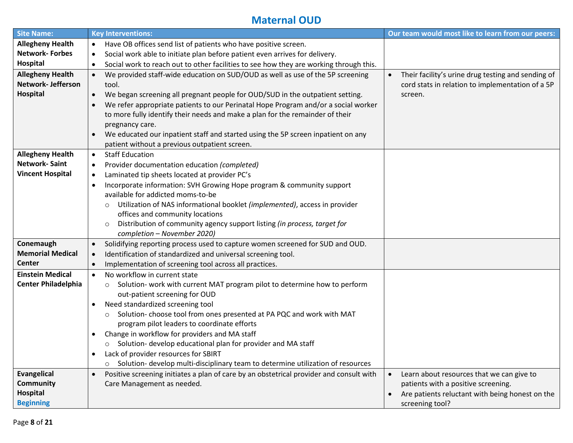#### **Maternal OUD**

| <b>Site Name:</b>          | <b>Key Interventions:</b>                                                                            | Our team would most like to learn from our peers:            |
|----------------------------|------------------------------------------------------------------------------------------------------|--------------------------------------------------------------|
| <b>Allegheny Health</b>    | Have OB offices send list of patients who have positive screen.<br>$\bullet$                         |                                                              |
| <b>Network-Forbes</b>      | Social work able to initiate plan before patient even arrives for delivery.<br>$\bullet$             |                                                              |
| Hospital                   | Social work to reach out to other facilities to see how they are working through this.<br>$\bullet$  |                                                              |
| <b>Allegheny Health</b>    | We provided staff-wide education on SUD/OUD as well as use of the 5P screening<br>$\bullet$          | Their facility's urine drug testing and sending of           |
| Network-Jefferson          | tool.                                                                                                | cord stats in relation to implementation of a 5P             |
| Hospital                   | We began screening all pregnant people for OUD/SUD in the outpatient setting.<br>$\bullet$           | screen.                                                      |
|                            | We refer appropriate patients to our Perinatal Hope Program and/or a social worker                   |                                                              |
|                            | to more fully identify their needs and make a plan for the remainder of their                        |                                                              |
|                            | pregnancy care.                                                                                      |                                                              |
|                            | We educated our inpatient staff and started using the 5P screen inpatient on any<br>$\bullet$        |                                                              |
|                            | patient without a previous outpatient screen.                                                        |                                                              |
| <b>Allegheny Health</b>    | <b>Staff Education</b><br>$\bullet$                                                                  |                                                              |
| <b>Network-Saint</b>       | Provider documentation education (completed)<br>$\bullet$                                            |                                                              |
| <b>Vincent Hospital</b>    | Laminated tip sheets located at provider PC's<br>$\bullet$                                           |                                                              |
|                            | Incorporate information: SVH Growing Hope program & community support<br>$\bullet$                   |                                                              |
|                            | available for addicted moms-to-be                                                                    |                                                              |
|                            | Utilization of NAS informational booklet (implemented), access in provider<br>$\circ$                |                                                              |
|                            | offices and community locations                                                                      |                                                              |
|                            | Distribution of community agency support listing (in process, target for<br>$\circ$                  |                                                              |
|                            | completion - November 2020)                                                                          |                                                              |
| Conemaugh                  | Solidifying reporting process used to capture women screened for SUD and OUD.<br>$\bullet$           |                                                              |
| <b>Memorial Medical</b>    | Identification of standardized and universal screening tool.<br>$\bullet$                            |                                                              |
| Center                     | Implementation of screening tool across all practices.<br>$\bullet$                                  |                                                              |
| <b>Einstein Medical</b>    | No workflow in current state<br>$\bullet$                                                            |                                                              |
| <b>Center Philadelphia</b> | Solution- work with current MAT program pilot to determine how to perform<br>$\circ$                 |                                                              |
|                            | out-patient screening for OUD                                                                        |                                                              |
|                            | Need standardized screening tool<br>$\bullet$                                                        |                                                              |
|                            | Solution-choose tool from ones presented at PA PQC and work with MAT<br>$\circ$                      |                                                              |
|                            | program pilot leaders to coordinate efforts                                                          |                                                              |
|                            | Change in workflow for providers and MA staff                                                        |                                                              |
|                            | o Solution- develop educational plan for provider and MA staff                                       |                                                              |
|                            | Lack of provider resources for SBIRT                                                                 |                                                              |
|                            | Solution- develop multi-disciplinary team to determine utilization of resources<br>$\circ$           |                                                              |
| <b>Evangelical</b>         | Positive screening initiates a plan of care by an obstetrical provider and consult with<br>$\bullet$ | Learn about resources that we can give to<br>$\bullet$       |
| <b>Community</b>           | Care Management as needed.                                                                           | patients with a positive screening.                          |
| <b>Hospital</b>            |                                                                                                      | Are patients reluctant with being honest on the<br>$\bullet$ |
| <b>Beginning</b>           |                                                                                                      | screening tool?                                              |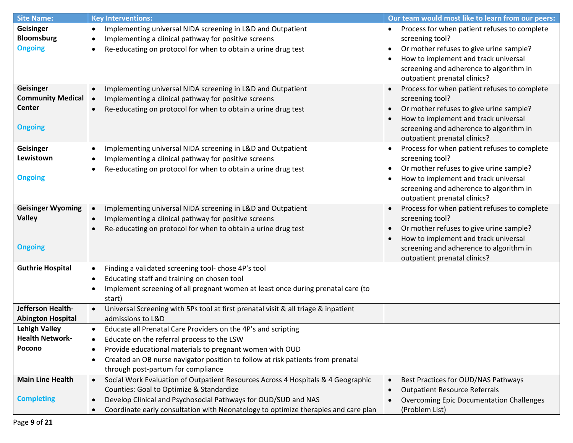| <b>Site Name:</b>        | <b>Key Interventions:</b>                                                                       | Our team would most like to learn from our peers:         |
|--------------------------|-------------------------------------------------------------------------------------------------|-----------------------------------------------------------|
| Geisinger                | Implementing universal NIDA screening in L&D and Outpatient<br>$\bullet$                        | Process for when patient refuses to complete<br>$\bullet$ |
| <b>Bloomsburg</b>        | Implementing a clinical pathway for positive screens<br>٠                                       | screening tool?                                           |
| <b>Ongoing</b>           | Re-educating on protocol for when to obtain a urine drug test<br>٠                              | Or mother refuses to give urine sample?<br>$\bullet$      |
|                          |                                                                                                 | How to implement and track universal<br>$\bullet$         |
|                          |                                                                                                 | screening and adherence to algorithm in                   |
|                          |                                                                                                 | outpatient prenatal clinics?                              |
| Geisinger                | Implementing universal NIDA screening in L&D and Outpatient                                     | Process for when patient refuses to complete              |
| <b>Community Medical</b> | Implementing a clinical pathway for positive screens<br>$\bullet$                               | screening tool?                                           |
| <b>Center</b>            | Re-educating on protocol for when to obtain a urine drug test                                   | Or mother refuses to give urine sample?                   |
|                          |                                                                                                 | How to implement and track universal                      |
| <b>Ongoing</b>           |                                                                                                 | screening and adherence to algorithm in                   |
|                          |                                                                                                 | outpatient prenatal clinics?                              |
| Geisinger                | Implementing universal NIDA screening in L&D and Outpatient<br>٠                                | Process for when patient refuses to complete              |
| Lewistown                | Implementing a clinical pathway for positive screens<br>٠                                       | screening tool?                                           |
|                          | Re-educating on protocol for when to obtain a urine drug test<br>٠                              | Or mother refuses to give urine sample?                   |
| <b>Ongoing</b>           |                                                                                                 | How to implement and track universal                      |
|                          |                                                                                                 | screening and adherence to algorithm in                   |
|                          |                                                                                                 | outpatient prenatal clinics?                              |
| <b>Geisinger Wyoming</b> | Implementing universal NIDA screening in L&D and Outpatient                                     | Process for when patient refuses to complete              |
| <b>Valley</b>            | Implementing a clinical pathway for positive screens<br>$\bullet$                               | screening tool?                                           |
|                          | Re-educating on protocol for when to obtain a urine drug test                                   | Or mother refuses to give urine sample?                   |
|                          |                                                                                                 | How to implement and track universal                      |
| <b>Ongoing</b>           |                                                                                                 | screening and adherence to algorithm in                   |
|                          |                                                                                                 | outpatient prenatal clinics?                              |
| <b>Guthrie Hospital</b>  | Finding a validated screening tool- chose 4P's tool<br>٠                                        |                                                           |
|                          | Educating staff and training on chosen tool<br>٠                                                |                                                           |
|                          | Implement screening of all pregnant women at least once during prenatal care (to<br>٠           |                                                           |
|                          | start)                                                                                          |                                                           |
| Jefferson Health-        | Universal Screening with 5Ps tool at first prenatal visit & all triage & inpatient<br>$\bullet$ |                                                           |
| <b>Abington Hospital</b> | admissions to L&D                                                                               |                                                           |
| <b>Lehigh Valley</b>     | Educate all Prenatal Care Providers on the 4P's and scripting                                   |                                                           |
| <b>Health Network-</b>   | Educate on the referral process to the LSW                                                      |                                                           |
| Pocono                   | Provide educational materials to pregnant women with OUD<br>٠                                   |                                                           |
|                          | Created an OB nurse navigator position to follow at risk patients from prenatal<br>$\bullet$    |                                                           |
|                          | through post-partum for compliance                                                              |                                                           |
| <b>Main Line Health</b>  | Social Work Evaluation of Outpatient Resources Across 4 Hospitals & 4 Geographic<br>$\bullet$   | Best Practices for OUD/NAS Pathways                       |
|                          | Counties: Goal to Optimize & Standardize                                                        | <b>Outpatient Resource Referrals</b>                      |
| <b>Completing</b>        | Develop Clinical and Psychosocial Pathways for OUD/SUD and NAS<br>$\bullet$                     | <b>Overcoming Epic Documentation Challenges</b>           |
|                          | Coordinate early consultation with Neonatology to optimize therapies and care plan<br>$\bullet$ | (Problem List)                                            |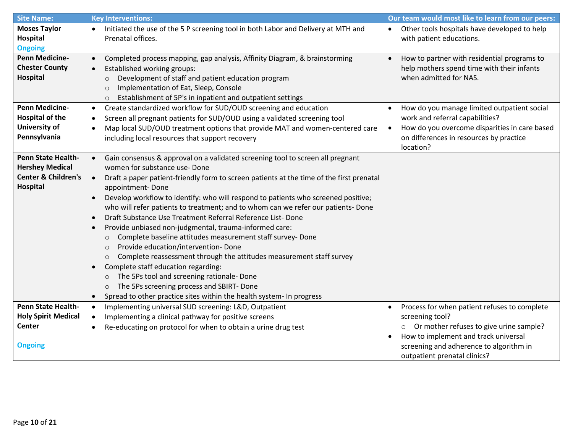| <b>Site Name:</b>              | <b>Key Interventions:</b>                                                                             | Our team would most like to learn from our peers:                              |
|--------------------------------|-------------------------------------------------------------------------------------------------------|--------------------------------------------------------------------------------|
| <b>Moses Taylor</b>            | Initiated the use of the 5 P screening tool in both Labor and Delivery at MTH and<br>$\bullet$        | Other tools hospitals have developed to help<br>$\bullet$                      |
| Hospital                       | Prenatal offices.                                                                                     | with patient educations.                                                       |
| <b>Ongoing</b>                 |                                                                                                       |                                                                                |
| <b>Penn Medicine-</b>          | Completed process mapping, gap analysis, Affinity Diagram, & brainstorming<br>$\bullet$               | How to partner with residential programs to                                    |
| <b>Chester County</b>          | Established working groups:                                                                           | help mothers spend time with their infants                                     |
| Hospital                       | Development of staff and patient education program<br>$\circ$                                         | when admitted for NAS.                                                         |
|                                | Implementation of Eat, Sleep, Console<br>$\circ$                                                      |                                                                                |
| <b>Penn Medicine-</b>          | Establishment of 5P's in inpatient and outpatient settings<br>$\circ$                                 |                                                                                |
| <b>Hospital of the</b>         | Create standardized workflow for SUD/OUD screening and education<br>$\bullet$                         | How do you manage limited outpatient social<br>work and referral capabilities? |
| <b>University of</b>           | Screen all pregnant patients for SUD/OUD using a validated screening tool<br>$\bullet$                | How do you overcome disparities in care based                                  |
| Pennsylvania                   | Map local SUD/OUD treatment options that provide MAT and women-centered care<br>$\bullet$             | on differences in resources by practice                                        |
|                                | including local resources that support recovery                                                       | location?                                                                      |
| <b>Penn State Health-</b>      | Gain consensus & approval on a validated screening tool to screen all pregnant                        |                                                                                |
| <b>Hershey Medical</b>         | women for substance use-Done                                                                          |                                                                                |
| <b>Center &amp; Children's</b> | Draft a paper patient-friendly form to screen patients at the time of the first prenatal<br>$\bullet$ |                                                                                |
| Hospital                       | appointment-Done                                                                                      |                                                                                |
|                                | Develop workflow to identify: who will respond to patients who screened positive;                     |                                                                                |
|                                | who will refer patients to treatment; and to whom can we refer our patients- Done                     |                                                                                |
|                                | Draft Substance Use Treatment Referral Reference List-Done                                            |                                                                                |
|                                | Provide unbiased non-judgmental, trauma-informed care:                                                |                                                                                |
|                                | Complete baseline attitudes measurement staff survey- Done<br>$\circ$                                 |                                                                                |
|                                | Provide education/intervention-Done<br>$\circ$                                                        |                                                                                |
|                                | Complete reassessment through the attitudes measurement staff survey<br>$\circ$                       |                                                                                |
|                                | Complete staff education regarding:<br>$\bullet$                                                      |                                                                                |
|                                | The 5Ps tool and screening rationale-Done<br>$\circ$                                                  |                                                                                |
|                                | The 5Ps screening process and SBIRT- Done<br>$\circ$                                                  |                                                                                |
|                                | Spread to other practice sites within the health system- In progress<br>$\bullet$                     |                                                                                |
| <b>Penn State Health-</b>      | Implementing universal SUD screening: L&D, Outpatient<br>$\bullet$                                    | Process for when patient refuses to complete                                   |
| <b>Holy Spirit Medical</b>     | Implementing a clinical pathway for positive screens<br>$\bullet$                                     | screening tool?                                                                |
| <b>Center</b>                  | Re-educating on protocol for when to obtain a urine drug test<br>$\bullet$                            | Or mother refuses to give urine sample?<br>$\circ$                             |
|                                |                                                                                                       | How to implement and track universal<br>$\bullet$                              |
| <b>Ongoing</b>                 |                                                                                                       | screening and adherence to algorithm in<br>outpatient prenatal clinics?        |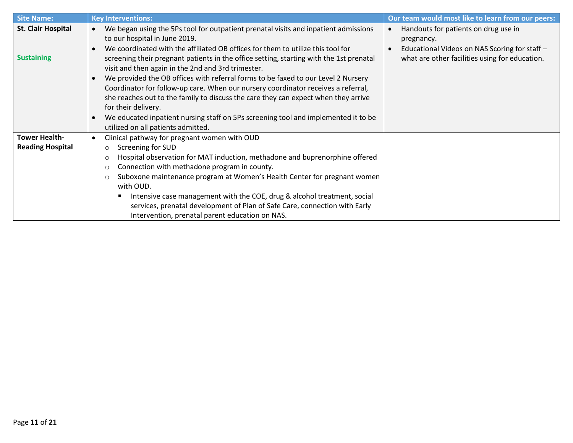| <b>Site Name:</b>         | <b>Key Interventions:</b>                                                                                                                                                                                                                                                                                                                                                                                                                                                                                                               | Our team would most like to learn from our peers:                                                                |
|---------------------------|-----------------------------------------------------------------------------------------------------------------------------------------------------------------------------------------------------------------------------------------------------------------------------------------------------------------------------------------------------------------------------------------------------------------------------------------------------------------------------------------------------------------------------------------|------------------------------------------------------------------------------------------------------------------|
| <b>St. Clair Hospital</b> | We began using the 5Ps tool for outpatient prenatal visits and inpatient admissions<br>to our hospital in June 2019.<br>We coordinated with the affiliated OB offices for them to utilize this tool for                                                                                                                                                                                                                                                                                                                                 | Handouts for patients on drug use in<br>$\bullet$<br>pregnancy.<br>Educational Videos on NAS Scoring for staff - |
| <b>Sustaining</b>         | screening their pregnant patients in the office setting, starting with the 1st prenatal<br>visit and then again in the 2nd and 3rd trimester.<br>We provided the OB offices with referral forms to be faxed to our Level 2 Nursery<br>Coordinator for follow-up care. When our nursery coordinator receives a referral,<br>she reaches out to the family to discuss the care they can expect when they arrive<br>for their delivery.<br>We educated inpatient nursing staff on 5Ps screening tool and implemented it to be<br>$\bullet$ | what are other facilities using for education.                                                                   |
|                           | utilized on all patients admitted.                                                                                                                                                                                                                                                                                                                                                                                                                                                                                                      |                                                                                                                  |
| <b>Tower Health-</b>      | Clinical pathway for pregnant women with OUD                                                                                                                                                                                                                                                                                                                                                                                                                                                                                            |                                                                                                                  |
| <b>Reading Hospital</b>   | Screening for SUD<br>$\circ$                                                                                                                                                                                                                                                                                                                                                                                                                                                                                                            |                                                                                                                  |
|                           | Hospital observation for MAT induction, methadone and buprenorphine offered<br>$\circ$                                                                                                                                                                                                                                                                                                                                                                                                                                                  |                                                                                                                  |
|                           | Connection with methadone program in county.<br>$\circ$                                                                                                                                                                                                                                                                                                                                                                                                                                                                                 |                                                                                                                  |
|                           | Suboxone maintenance program at Women's Health Center for pregnant women<br>$\circ$<br>with OUD.                                                                                                                                                                                                                                                                                                                                                                                                                                        |                                                                                                                  |
|                           | Intensive case management with the COE, drug & alcohol treatment, social                                                                                                                                                                                                                                                                                                                                                                                                                                                                |                                                                                                                  |
|                           | services, prenatal development of Plan of Safe Care, connection with Early                                                                                                                                                                                                                                                                                                                                                                                                                                                              |                                                                                                                  |
|                           | Intervention, prenatal parent education on NAS.                                                                                                                                                                                                                                                                                                                                                                                                                                                                                         |                                                                                                                  |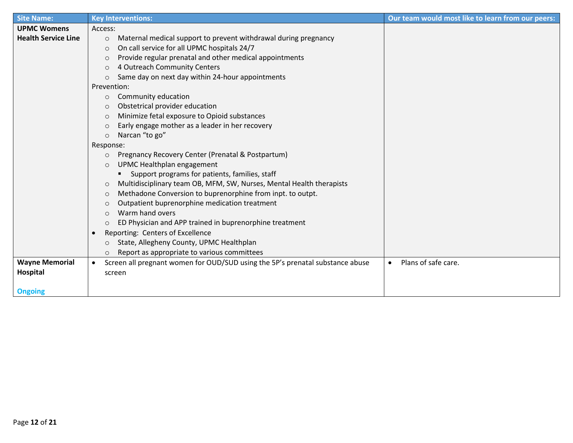| <b>Site Name:</b>          | <b>Key Interventions:</b>                                                                  | Our team would most like to learn from our peers: |
|----------------------------|--------------------------------------------------------------------------------------------|---------------------------------------------------|
| <b>UPMC Womens</b>         | Access:                                                                                    |                                                   |
| <b>Health Service Line</b> | Maternal medical support to prevent withdrawal during pregnancy<br>$\circ$                 |                                                   |
|                            | On call service for all UPMC hospitals 24/7<br>$\circ$                                     |                                                   |
|                            | Provide regular prenatal and other medical appointments<br>$\circ$                         |                                                   |
|                            | 4 Outreach Community Centers<br>$\circ$                                                    |                                                   |
|                            | Same day on next day within 24-hour appointments<br>$\circ$                                |                                                   |
|                            | Prevention:                                                                                |                                                   |
|                            | Community education<br>$\circ$                                                             |                                                   |
|                            | Obstetrical provider education<br>$\circ$                                                  |                                                   |
|                            | Minimize fetal exposure to Opioid substances<br>$\circ$                                    |                                                   |
|                            | Early engage mother as a leader in her recovery<br>$\circ$                                 |                                                   |
|                            | Narcan "to go"<br>$\circ$                                                                  |                                                   |
|                            | Response:                                                                                  |                                                   |
|                            | Pregnancy Recovery Center (Prenatal & Postpartum)<br>$\circ$                               |                                                   |
|                            | UPMC Healthplan engagement<br>$\circ$                                                      |                                                   |
|                            | Support programs for patients, families, staff                                             |                                                   |
|                            | Multidisciplinary team OB, MFM, SW, Nurses, Mental Health therapists<br>$\circ$            |                                                   |
|                            | Methadone Conversion to buprenorphine from inpt. to outpt.<br>$\circ$                      |                                                   |
|                            | Outpatient buprenorphine medication treatment<br>$\circ$                                   |                                                   |
|                            | Warm hand overs<br>$\circ$                                                                 |                                                   |
|                            | ED Physician and APP trained in buprenorphine treatment<br>$\circ$                         |                                                   |
|                            | Reporting: Centers of Excellence<br>$\bullet$                                              |                                                   |
|                            | State, Allegheny County, UPMC Healthplan<br>$\circ$                                        |                                                   |
|                            | Report as appropriate to various committees<br>$\circ$                                     |                                                   |
| <b>Wayne Memorial</b>      | Screen all pregnant women for OUD/SUD using the 5P's prenatal substance abuse<br>$\bullet$ | Plans of safe care.<br>$\bullet$                  |
| <b>Hospital</b>            | screen                                                                                     |                                                   |
|                            |                                                                                            |                                                   |
| <b>Ongoing</b>             |                                                                                            |                                                   |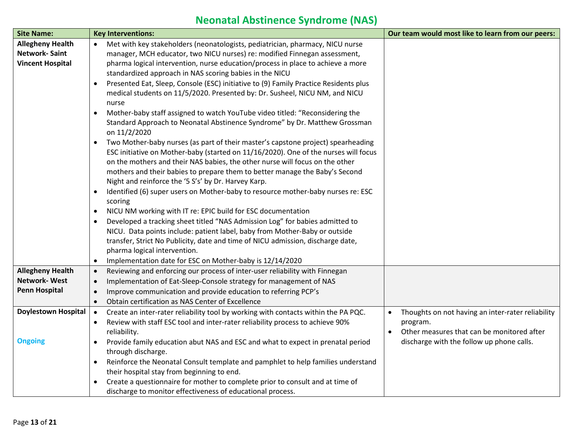# **Neonatal Abstinence Syndrome (NAS)**

| <b>Site Name:</b>                              | <b>Key Interventions:</b>                                                                             | Our team would most like to learn from our peers:              |
|------------------------------------------------|-------------------------------------------------------------------------------------------------------|----------------------------------------------------------------|
| <b>Allegheny Health</b>                        | Met with key stakeholders (neonatologists, pediatrician, pharmacy, NICU nurse<br>$\bullet$            |                                                                |
| <b>Network-Saint</b>                           | manager, MCH educator, two NICU nurses) re: modified Finnegan assessment,                             |                                                                |
| <b>Vincent Hospital</b>                        | pharma logical intervention, nurse education/process in place to achieve a more                       |                                                                |
|                                                | standardized approach in NAS scoring babies in the NICU                                               |                                                                |
|                                                | Presented Eat, Sleep, Console (ESC) initiative to (9) Family Practice Residents plus<br>$\bullet$     |                                                                |
|                                                | medical students on 11/5/2020. Presented by: Dr. Susheel, NICU NM, and NICU                           |                                                                |
|                                                | nurse                                                                                                 |                                                                |
|                                                | Mother-baby staff assigned to watch YouTube video titled: "Reconsidering the<br>$\bullet$             |                                                                |
|                                                | Standard Approach to Neonatal Abstinence Syndrome" by Dr. Matthew Grossman<br>on 11/2/2020            |                                                                |
|                                                | Two Mother-baby nurses (as part of their master's capstone project) spearheading<br>٠                 |                                                                |
|                                                | ESC initiative on Mother-baby (started on 11/16/2020). One of the nurses will focus                   |                                                                |
|                                                | on the mothers and their NAS babies, the other nurse will focus on the other                          |                                                                |
|                                                | mothers and their babies to prepare them to better manage the Baby's Second                           |                                                                |
|                                                | Night and reinforce the '5 S's' by Dr. Harvey Karp.                                                   |                                                                |
|                                                | Identified (6) super users on Mother-baby to resource mother-baby nurses re: ESC<br>٠                 |                                                                |
|                                                | scoring                                                                                               |                                                                |
|                                                | NICU NM working with IT re: EPIC build for ESC documentation<br>٠                                     |                                                                |
|                                                | Developed a tracking sheet titled "NAS Admission Log" for babies admitted to                          |                                                                |
|                                                | NICU. Data points include: patient label, baby from Mother-Baby or outside                            |                                                                |
|                                                | transfer, Strict No Publicity, date and time of NICU admission, discharge date,                       |                                                                |
|                                                | pharma logical intervention.                                                                          |                                                                |
|                                                | Implementation date for ESC on Mother-baby is 12/14/2020<br>٠                                         |                                                                |
| <b>Allegheny Health</b><br><b>Network-West</b> | Reviewing and enforcing our process of inter-user reliability with Finnegan<br>$\bullet$              |                                                                |
| <b>Penn Hospital</b>                           | Implementation of Eat-Sleep-Console strategy for management of NAS<br>$\bullet$                       |                                                                |
|                                                | Improve communication and provide education to referring PCP's<br>$\bullet$                           |                                                                |
|                                                | Obtain certification as NAS Center of Excellence<br>$\bullet$                                         |                                                                |
| <b>Doylestown Hospital</b>                     | Create an inter-rater reliability tool by working with contacts within the PA PQC.<br>$\bullet$       | Thoughts on not having an inter-rater reliability<br>$\bullet$ |
|                                                | Review with staff ESC tool and inter-rater reliability process to achieve 90%<br>$\bullet$            | program.<br>Other measures that can be monitored after         |
| <b>Ongoing</b>                                 | reliability.                                                                                          |                                                                |
|                                                | Provide family education abut NAS and ESC and what to expect in prenatal period<br>through discharge. | discharge with the follow up phone calls.                      |
|                                                | Reinforce the Neonatal Consult template and pamphlet to help families understand                      |                                                                |
|                                                | their hospital stay from beginning to end.                                                            |                                                                |
|                                                | Create a questionnaire for mother to complete prior to consult and at time of                         |                                                                |
|                                                | discharge to monitor effectiveness of educational process.                                            |                                                                |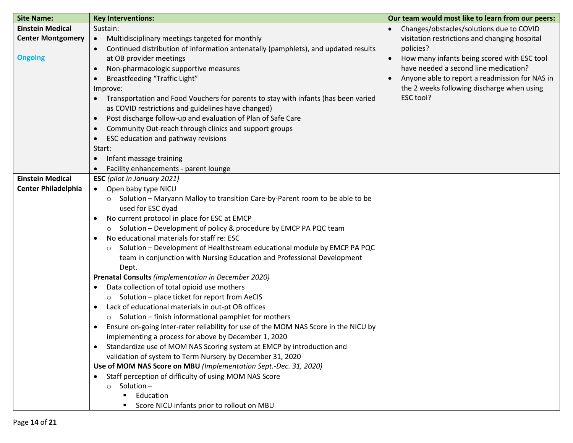| <b>Site Name:</b>          | <b>Key Interventions:</b>                                                                       | Our team would most like to learn from our peers: |
|----------------------------|-------------------------------------------------------------------------------------------------|---------------------------------------------------|
| <b>Einstein Medical</b>    | Sustain:                                                                                        | Changes/obstacles/solutions due to COVID          |
| <b>Center Montgomery</b>   | Multidisciplinary meetings targeted for monthly<br>$\bullet$                                    | visitation restrictions and changing hospital     |
|                            | Continued distribution of information antenatally (pamphlets), and updated results              | policies?                                         |
| <b>Ongoing</b>             | at OB provider meetings                                                                         | How many infants being scored with ESC tool       |
|                            | Non-pharmacologic supportive measures<br>$\bullet$                                              | have needed a second line medication?             |
|                            | Breastfeeding "Traffic Light"                                                                   | Anyone able to report a readmission for NAS in    |
|                            | Improve:                                                                                        | the 2 weeks following discharge when using        |
|                            | Transportation and Food Vouchers for parents to stay with infants (has been varied<br>$\bullet$ | ESC tool?                                         |
|                            | as COVID restrictions and guidelines have changed)                                              |                                                   |
|                            | Post discharge follow-up and evaluation of Plan of Safe Care<br>$\bullet$                       |                                                   |
|                            | Community Out-reach through clinics and support groups                                          |                                                   |
|                            | ESC education and pathway revisions<br>$\bullet$                                                |                                                   |
|                            | Start:                                                                                          |                                                   |
|                            | Infant massage training                                                                         |                                                   |
|                            | Facility enhancements - parent lounge                                                           |                                                   |
| <b>Einstein Medical</b>    | <b>ESC</b> (pilot in January 2021)                                                              |                                                   |
| <b>Center Philadelphia</b> | Open baby type NICU<br>$\bullet$                                                                |                                                   |
|                            | Solution - Maryann Malloy to transition Care-by-Parent room to be able to be<br>$\circ$         |                                                   |
|                            | used for ESC dyad                                                                               |                                                   |
|                            | No current protocol in place for ESC at EMCP                                                    |                                                   |
|                            | ○ Solution – Development of policy & procedure by EMCP PA PQC team                              |                                                   |
|                            | No educational materials for staff re: ESC                                                      |                                                   |
|                            | Solution - Development of Healthstream educational module by EMCP PA PQC<br>$\circ$             |                                                   |
|                            | team in conjunction with Nursing Education and Professional Development                         |                                                   |
|                            | Dept.                                                                                           |                                                   |
|                            | Prenatal Consults (implementation in December 2020)                                             |                                                   |
|                            | Data collection of total opioid use mothers                                                     |                                                   |
|                            | $\circ$ Solution – place ticket for report from AeCIS                                           |                                                   |
|                            | Lack of educational materials in out-pt OB offices<br>$\bullet$                                 |                                                   |
|                            | $\circ$ Solution – finish informational pamphlet for mothers                                    |                                                   |
|                            | Ensure on-going inter-rater reliability for use of the MOM NAS Score in the NICU by             |                                                   |
|                            | implementing a process for above by December 1, 2020                                            |                                                   |
|                            | Standardize use of MOM NAS Scoring system at EMCP by introduction and                           |                                                   |
|                            | validation of system to Term Nursery by December 31, 2020                                       |                                                   |
|                            | Use of MOM NAS Score on MBU (Implementation Sept.-Dec. 31, 2020)                                |                                                   |
|                            | Staff perception of difficulty of using MOM NAS Score                                           |                                                   |
|                            | $\circ$ Solution –                                                                              |                                                   |
|                            | Education                                                                                       |                                                   |
|                            | Score NICU infants prior to rollout on MBU                                                      |                                                   |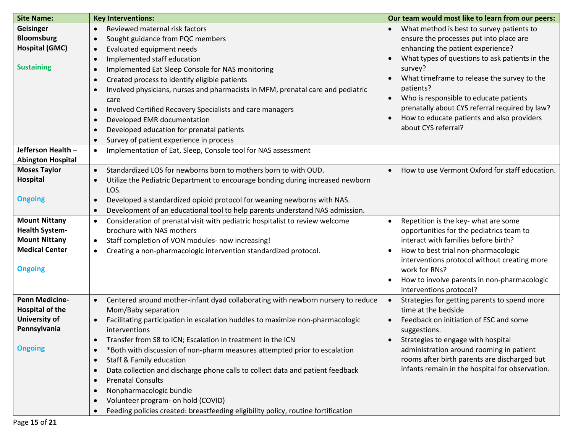| <b>Site Name:</b>        | <b>Key Interventions:</b>                                                                      | Our team would most like to learn from our peers:                                        |
|--------------------------|------------------------------------------------------------------------------------------------|------------------------------------------------------------------------------------------|
| Geisinger                | Reviewed maternal risk factors<br>$\bullet$                                                    | What method is best to survey patients to                                                |
| <b>Bloomsburg</b>        | Sought guidance from PQC members<br>$\bullet$                                                  | ensure the processes put into place are                                                  |
| <b>Hospital (GMC)</b>    | Evaluated equipment needs<br>$\bullet$                                                         | enhancing the patient experience?                                                        |
|                          | Implemented staff education<br>$\bullet$                                                       | What types of questions to ask patients in the                                           |
| <b>Sustaining</b>        | Implemented Eat Sleep Console for NAS monitoring<br>$\bullet$                                  | survey?                                                                                  |
|                          | Created process to identify eligible patients                                                  | What timeframe to release the survey to the                                              |
|                          | Involved physicians, nurses and pharmacists in MFM, prenatal care and pediatric<br>$\bullet$   | patients?                                                                                |
|                          | care                                                                                           | Who is responsible to educate patients                                                   |
|                          | Involved Certified Recovery Specialists and care managers<br>$\bullet$                         | prenatally about CYS referral required by law?                                           |
|                          | Developed EMR documentation<br>$\bullet$                                                       | How to educate patients and also providers                                               |
|                          | Developed education for prenatal patients<br>$\bullet$                                         | about CYS referral?                                                                      |
|                          | Survey of patient experience in process<br>$\bullet$                                           |                                                                                          |
| Jefferson Health -       | Implementation of Eat, Sleep, Console tool for NAS assessment<br>$\bullet$                     |                                                                                          |
| <b>Abington Hospital</b> |                                                                                                |                                                                                          |
| <b>Moses Taylor</b>      | Standardized LOS for newborns born to mothers born to with OUD.<br>$\bullet$                   | How to use Vermont Oxford for staff education.                                           |
| <b>Hospital</b>          | Utilize the Pediatric Department to encourage bonding during increased newborn<br>$\bullet$    |                                                                                          |
|                          | LOS.                                                                                           |                                                                                          |
| <b>Ongoing</b>           | Developed a standardized opioid protocol for weaning newborns with NAS.<br>$\bullet$           |                                                                                          |
|                          | Development of an educational tool to help parents understand NAS admission.                   |                                                                                          |
| <b>Mount Nittany</b>     | Consideration of prenatal visit with pediatric hospitalist to review welcome<br>$\bullet$      | Repetition is the key- what are some<br>$\bullet$                                        |
| <b>Health System-</b>    | brochure with NAS mothers                                                                      | opportunities for the pediatrics team to                                                 |
| <b>Mount Nittany</b>     | Staff completion of VON modules- now increasing!<br>٠                                          | interact with families before birth?                                                     |
| <b>Medical Center</b>    | Creating a non-pharmacologic intervention standardized protocol.<br>$\bullet$                  | How to best trial non-pharmacologic                                                      |
|                          |                                                                                                | interventions protocol without creating more                                             |
| <b>Ongoing</b>           |                                                                                                | work for RNs?                                                                            |
|                          |                                                                                                | How to involve parents in non-pharmacologic                                              |
|                          |                                                                                                | interventions protocol?                                                                  |
| <b>Penn Medicine-</b>    | Centered around mother-infant dyad collaborating with newborn nursery to reduce<br>$\bullet$   | Strategies for getting parents to spend more<br>$\bullet$                                |
| <b>Hospital of the</b>   | Mom/Baby separation                                                                            | time at the bedside                                                                      |
| University of            | Facilitating participation in escalation huddles to maximize non-pharmacologic<br>$\bullet$    | Feedback on initiation of ESC and some                                                   |
| Pennsylvania             | interventions                                                                                  | suggestions.                                                                             |
| <b>Ongoing</b>           | Transfer from S8 to ICN; Escalation in treatment in the ICN                                    | Strategies to engage with hospital                                                       |
|                          | *Both with discussion of non-pharm measures attempted prior to escalation<br>$\bullet$         | administration around rooming in patient<br>rooms after birth parents are discharged but |
|                          | <b>Staff &amp; Family education</b><br>$\bullet$                                               | infants remain in the hospital for observation.                                          |
|                          | Data collection and discharge phone calls to collect data and patient feedback<br>$\bullet$    |                                                                                          |
|                          | <b>Prenatal Consults</b><br>$\bullet$                                                          |                                                                                          |
|                          | Nonpharmacologic bundle<br>$\bullet$                                                           |                                                                                          |
|                          | Volunteer program- on hold (COVID)<br>$\bullet$                                                |                                                                                          |
|                          | Feeding policies created: breastfeeding eligibility policy, routine fortification<br>$\bullet$ |                                                                                          |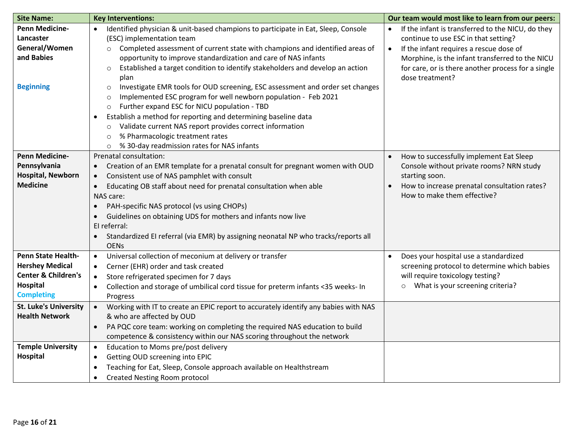| <b>Site Name:</b>                                                                                                             | <b>Key Interventions:</b>                                                                                                                                                                                                                                                                                                                                                                                                                                                                                                                                     | Our team would most like to learn from our peers:                                                                                                                                |
|-------------------------------------------------------------------------------------------------------------------------------|---------------------------------------------------------------------------------------------------------------------------------------------------------------------------------------------------------------------------------------------------------------------------------------------------------------------------------------------------------------------------------------------------------------------------------------------------------------------------------------------------------------------------------------------------------------|----------------------------------------------------------------------------------------------------------------------------------------------------------------------------------|
| <b>Penn Medicine-</b><br>Lancaster                                                                                            | Identified physician & unit-based champions to participate in Eat, Sleep, Console<br>$\bullet$<br>(ESC) implementation team                                                                                                                                                                                                                                                                                                                                                                                                                                   | If the infant is transferred to the NICU, do they<br>$\bullet$<br>continue to use ESC in that setting?                                                                           |
| General/Women<br>and Babies<br><b>Beginning</b>                                                                               | Completed assessment of current state with champions and identified areas of<br>$\circ$<br>opportunity to improve standardization and care of NAS infants<br>Established a target condition to identify stakeholders and develop an action<br>$\circ$<br>plan<br>Investigate EMR tools for OUD screening, ESC assessment and order set changes<br>$\circ$<br>Implemented ESC program for well newborn population - Feb 2021<br>O<br>Further expand ESC for NICU population - TBD<br>$\circ$<br>Establish a method for reporting and determining baseline data | If the infant requires a rescue dose of<br>$\bullet$<br>Morphine, is the infant transferred to the NICU<br>for care, or is there another process for a single<br>dose treatment? |
|                                                                                                                               | Validate current NAS report provides correct information<br>$\circ$<br>% Pharmacologic treatment rates<br>$\circ$<br>% 30-day readmission rates for NAS infants<br>$\circ$                                                                                                                                                                                                                                                                                                                                                                                    |                                                                                                                                                                                  |
| <b>Penn Medicine-</b>                                                                                                         | Prenatal consultation:                                                                                                                                                                                                                                                                                                                                                                                                                                                                                                                                        | How to successfully implement Eat Sleep                                                                                                                                          |
| Pennsylvania<br><b>Hospital, Newborn</b><br><b>Medicine</b>                                                                   | Creation of an EMR template for a prenatal consult for pregnant women with OUD<br>Consistent use of NAS pamphlet with consult<br>Educating OB staff about need for prenatal consultation when able<br>$\bullet$<br>NAS care:                                                                                                                                                                                                                                                                                                                                  | Console without private rooms? NRN study<br>starting soon.<br>How to increase prenatal consultation rates?<br>How to make them effective?                                        |
|                                                                                                                               | PAH-specific NAS protocol (vs using CHOPs)<br>Guidelines on obtaining UDS for mothers and infants now live<br>El referral:<br>Standardized EI referral (via EMR) by assigning neonatal NP who tracks/reports all<br>$\bullet$<br><b>OENs</b>                                                                                                                                                                                                                                                                                                                  |                                                                                                                                                                                  |
| <b>Penn State Health-</b><br><b>Hershey Medical</b><br><b>Center &amp; Children's</b><br><b>Hospital</b><br><b>Completing</b> | Universal collection of meconium at delivery or transfer<br>$\bullet$<br>Cerner (EHR) order and task created<br>$\bullet$<br>Store refrigerated specimen for 7 days<br>$\bullet$<br>Collection and storage of umbilical cord tissue for preterm infants <35 weeks- In<br>$\bullet$<br>Progress                                                                                                                                                                                                                                                                | Does your hospital use a standardized<br>screening protocol to determine which babies<br>will require toxicology testing?<br>What is your screening criteria?<br>$\circ$         |
| <b>St. Luke's University</b><br><b>Health Network</b>                                                                         | Working with IT to create an EPIC report to accurately identify any babies with NAS<br>$\bullet$<br>& who are affected by OUD<br>PA PQC core team: working on completing the required NAS education to build<br>$\bullet$<br>competence & consistency within our NAS scoring throughout the network                                                                                                                                                                                                                                                           |                                                                                                                                                                                  |
| <b>Temple University</b><br><b>Hospital</b>                                                                                   | Education to Moms pre/post delivery<br>$\bullet$<br>Getting OUD screening into EPIC<br>$\bullet$<br>Teaching for Eat, Sleep, Console approach available on Healthstream<br><b>Created Nesting Room protocol</b><br>$\bullet$                                                                                                                                                                                                                                                                                                                                  |                                                                                                                                                                                  |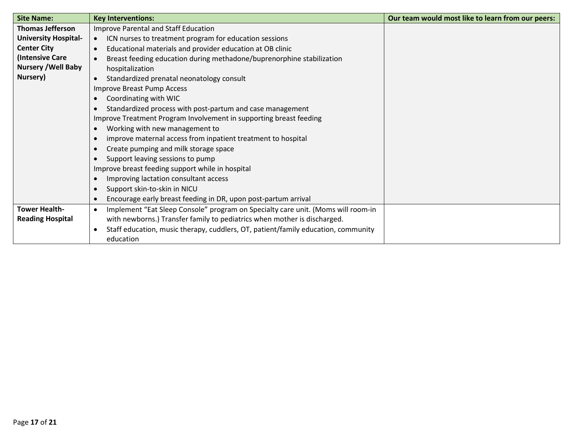| <b>Site Name:</b>           | <b>Key Interventions:</b>                                                                     | Our team would most like to learn from our peers: |
|-----------------------------|-----------------------------------------------------------------------------------------------|---------------------------------------------------|
| <b>Thomas Jefferson</b>     | Improve Parental and Staff Education                                                          |                                                   |
| <b>University Hospital-</b> | ICN nurses to treatment program for education sessions<br>$\bullet$                           |                                                   |
| <b>Center City</b>          | Educational materials and provider education at OB clinic                                     |                                                   |
| (Intensive Care             | Breast feeding education during methadone/buprenorphine stabilization                         |                                                   |
| <b>Nursery / Well Baby</b>  | hospitalization                                                                               |                                                   |
| Nursery)                    | Standardized prenatal neonatology consult                                                     |                                                   |
|                             | Improve Breast Pump Access                                                                    |                                                   |
|                             | Coordinating with WIC                                                                         |                                                   |
|                             | Standardized process with post-partum and case management                                     |                                                   |
|                             | Improve Treatment Program Involvement in supporting breast feeding                            |                                                   |
|                             | Working with new management to                                                                |                                                   |
|                             | improve maternal access from inpatient treatment to hospital                                  |                                                   |
|                             | Create pumping and milk storage space                                                         |                                                   |
|                             | Support leaving sessions to pump                                                              |                                                   |
|                             | Improve breast feeding support while in hospital                                              |                                                   |
|                             | Improving lactation consultant access                                                         |                                                   |
|                             | Support skin-to-skin in NICU                                                                  |                                                   |
|                             | Encourage early breast feeding in DR, upon post-partum arrival                                |                                                   |
| <b>Tower Health-</b>        | Implement "Eat Sleep Console" program on Specialty care unit. (Moms will room-in<br>$\bullet$ |                                                   |
| <b>Reading Hospital</b>     | with newborns.) Transfer family to pediatrics when mother is discharged.                      |                                                   |
|                             | Staff education, music therapy, cuddlers, OT, patient/family education, community             |                                                   |
|                             | education                                                                                     |                                                   |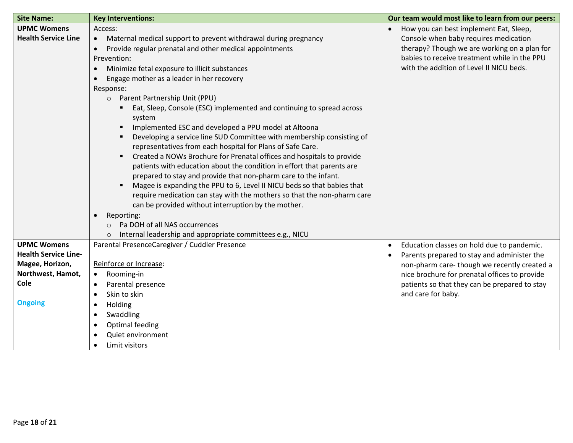| <b>Site Name:</b>           | <b>Key Interventions:</b>                                                               | Our team would most like to learn from our peers: |
|-----------------------------|-----------------------------------------------------------------------------------------|---------------------------------------------------|
| <b>UPMC Womens</b>          | Access:                                                                                 | How you can best implement Eat, Sleep,            |
| <b>Health Service Line</b>  | Maternal medical support to prevent withdrawal during pregnancy<br>$\bullet$            | Console when baby requires medication             |
|                             | Provide regular prenatal and other medical appointments                                 | therapy? Though we are working on a plan for      |
|                             | Prevention:                                                                             | babies to receive treatment while in the PPU      |
|                             | Minimize fetal exposure to illicit substances                                           | with the addition of Level II NICU beds.          |
|                             | Engage mother as a leader in her recovery                                               |                                                   |
|                             | Response:                                                                               |                                                   |
|                             | O Parent Partnership Unit (PPU)                                                         |                                                   |
|                             | Eat, Sleep, Console (ESC) implemented and continuing to spread across                   |                                                   |
|                             | system                                                                                  |                                                   |
|                             | Implemented ESC and developed a PPU model at Altoona<br>$\blacksquare$                  |                                                   |
|                             | Developing a service line SUD Committee with membership consisting of<br>$\blacksquare$ |                                                   |
|                             | representatives from each hospital for Plans of Safe Care.                              |                                                   |
|                             | Created a NOWs Brochure for Prenatal offices and hospitals to provide<br>٠              |                                                   |
|                             | patients with education about the condition in effort that parents are                  |                                                   |
|                             | prepared to stay and provide that non-pharm care to the infant.                         |                                                   |
|                             | Magee is expanding the PPU to 6, Level II NICU beds so that babies that<br>٠            |                                                   |
|                             | require medication can stay with the mothers so that the non-pharm care                 |                                                   |
|                             | can be provided without interruption by the mother.                                     |                                                   |
|                             | Reporting:                                                                              |                                                   |
|                             | Pa DOH of all NAS occurrences                                                           |                                                   |
|                             | Internal leadership and appropriate committees e.g., NICU                               |                                                   |
| <b>UPMC Womens</b>          | Parental PresenceCaregiver / Cuddler Presence                                           | Education classes on hold due to pandemic.        |
| <b>Health Service Line-</b> |                                                                                         | Parents prepared to stay and administer the       |
| Magee, Horizon,             | Reinforce or Increase:                                                                  | non-pharm care-though we recently created a       |
| Northwest, Hamot,           | Rooming-in<br>$\bullet$                                                                 | nice brochure for prenatal offices to provide     |
| Cole                        | Parental presence                                                                       | patients so that they can be prepared to stay     |
|                             | Skin to skin                                                                            | and care for baby.                                |
| <b>Ongoing</b>              | Holding<br>$\bullet$                                                                    |                                                   |
|                             | Swaddling                                                                               |                                                   |
|                             | Optimal feeding                                                                         |                                                   |
|                             | Quiet environment                                                                       |                                                   |
|                             | Limit visitors                                                                          |                                                   |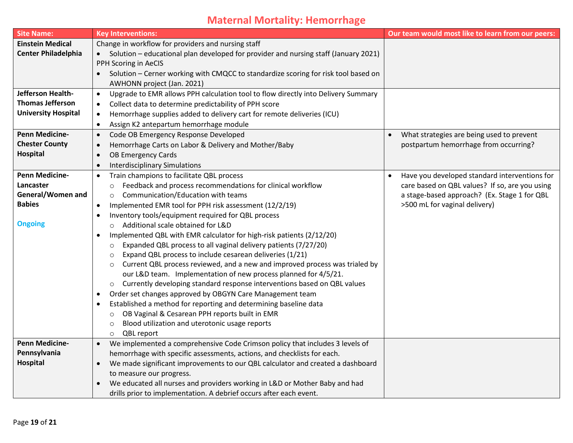# **Maternal Mortality: Hemorrhage**

| <b>Site Name:</b>          | <b>Key Interventions:</b>                                                                       | Our team would most like to learn from our peers: |
|----------------------------|-------------------------------------------------------------------------------------------------|---------------------------------------------------|
| <b>Einstein Medical</b>    | Change in workflow for providers and nursing staff                                              |                                                   |
| <b>Center Philadelphia</b> | Solution – educational plan developed for provider and nursing staff (January 2021)             |                                                   |
|                            | PPH Scoring in AeCIS                                                                            |                                                   |
|                            | Solution - Cerner working with CMQCC to standardize scoring for risk tool based on<br>$\bullet$ |                                                   |
|                            | AWHONN project (Jan. 2021)                                                                      |                                                   |
| Jefferson Health-          | Upgrade to EMR allows PPH calculation tool to flow directly into Delivery Summary<br>$\bullet$  |                                                   |
| <b>Thomas Jefferson</b>    | Collect data to determine predictability of PPH score<br>$\bullet$                              |                                                   |
| <b>University Hospital</b> | Hemorrhage supplies added to delivery cart for remote deliveries (ICU)<br>$\bullet$             |                                                   |
|                            | Assign K2 antepartum hemorrhage module<br>$\bullet$                                             |                                                   |
| <b>Penn Medicine-</b>      | Code OB Emergency Response Developed<br>$\bullet$                                               | What strategies are being used to prevent         |
| <b>Chester County</b>      | Hemorrhage Carts on Labor & Delivery and Mother/Baby<br>$\bullet$                               | postpartum hemorrhage from occurring?             |
| Hospital                   | <b>OB Emergency Cards</b><br>$\bullet$                                                          |                                                   |
|                            | <b>Interdisciplinary Simulations</b><br>$\bullet$                                               |                                                   |
| <b>Penn Medicine-</b>      | Train champions to facilitate QBL process<br>$\bullet$                                          | Have you developed standard interventions for     |
| Lancaster                  | Feedback and process recommendations for clinical workflow<br>$\circ$                           | care based on QBL values? If so, are you using    |
| General/Women and          | Communication/Education with teams<br>$\circ$                                                   | a stage-based approach? (Ex. Stage 1 for QBL      |
| <b>Babies</b>              | Implemented EMR tool for PPH risk assessment (12/2/19)<br>$\bullet$                             | >500 mL for vaginal delivery)                     |
|                            | Inventory tools/equipment required for QBL process<br>$\bullet$                                 |                                                   |
| <b>Ongoing</b>             | Additional scale obtained for L&D<br>$\circ$                                                    |                                                   |
|                            | Implemented QBL with EMR calculator for high-risk patients (2/12/20)<br>$\bullet$               |                                                   |
|                            | Expanded QBL process to all vaginal delivery patients (7/27/20)<br>$\circ$                      |                                                   |
|                            | Expand QBL process to include cesarean deliveries (1/21)<br>$\circ$                             |                                                   |
|                            | Current QBL process reviewed, and a new and improved process was trialed by                     |                                                   |
|                            | our L&D team. Implementation of new process planned for 4/5/21.                                 |                                                   |
|                            | Currently developing standard response interventions based on QBL values<br>$\circ$             |                                                   |
|                            | Order set changes approved by OBGYN Care Management team<br>$\bullet$                           |                                                   |
|                            | Established a method for reporting and determining baseline data<br>$\bullet$                   |                                                   |
|                            | OB Vaginal & Cesarean PPH reports built in EMR<br>$\circ$                                       |                                                   |
|                            | Blood utilization and uterotonic usage reports<br>$\circ$                                       |                                                   |
|                            | QBL report<br>$\circ$                                                                           |                                                   |
| <b>Penn Medicine-</b>      | We implemented a comprehensive Code Crimson policy that includes 3 levels of<br>$\bullet$       |                                                   |
| Pennsylvania               | hemorrhage with specific assessments, actions, and checklists for each.                         |                                                   |
| Hospital                   | We made significant improvements to our QBL calculator and created a dashboard                  |                                                   |
|                            | to measure our progress.                                                                        |                                                   |
|                            | We educated all nurses and providers working in L&D or Mother Baby and had                      |                                                   |
|                            | drills prior to implementation. A debrief occurs after each event.                              |                                                   |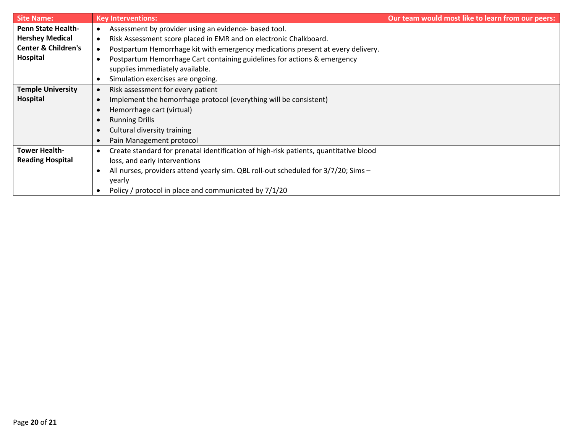| <b>Site Name:</b>              | <b>Key Interventions:</b>                                                             | Our team would most like to learn from our peers: |
|--------------------------------|---------------------------------------------------------------------------------------|---------------------------------------------------|
| <b>Penn State Health-</b>      | Assessment by provider using an evidence- based tool.<br>$\bullet$                    |                                                   |
| <b>Hershey Medical</b>         | Risk Assessment score placed in EMR and on electronic Chalkboard.<br>$\bullet$        |                                                   |
| <b>Center &amp; Children's</b> | Postpartum Hemorrhage kit with emergency medications present at every delivery.       |                                                   |
| Hospital                       | Postpartum Hemorrhage Cart containing guidelines for actions & emergency              |                                                   |
|                                | supplies immediately available.                                                       |                                                   |
|                                | Simulation exercises are ongoing.<br>$\bullet$                                        |                                                   |
| <b>Temple University</b>       | Risk assessment for every patient<br>$\bullet$                                        |                                                   |
| Hospital                       | Implement the hemorrhage protocol (everything will be consistent)<br>$\bullet$        |                                                   |
|                                | Hemorrhage cart (virtual)<br>$\bullet$                                                |                                                   |
|                                | <b>Running Drills</b><br>$\bullet$                                                    |                                                   |
|                                | Cultural diversity training<br>$\bullet$                                              |                                                   |
|                                | Pain Management protocol<br>$\bullet$                                                 |                                                   |
| <b>Tower Health-</b>           | Create standard for prenatal identification of high-risk patients, quantitative blood |                                                   |
| <b>Reading Hospital</b>        | loss, and early interventions                                                         |                                                   |
|                                | All nurses, providers attend yearly sim. QBL roll-out scheduled for 3/7/20; Sims -    |                                                   |
|                                | yearly                                                                                |                                                   |
|                                | Policy / protocol in place and communicated by 7/1/20                                 |                                                   |